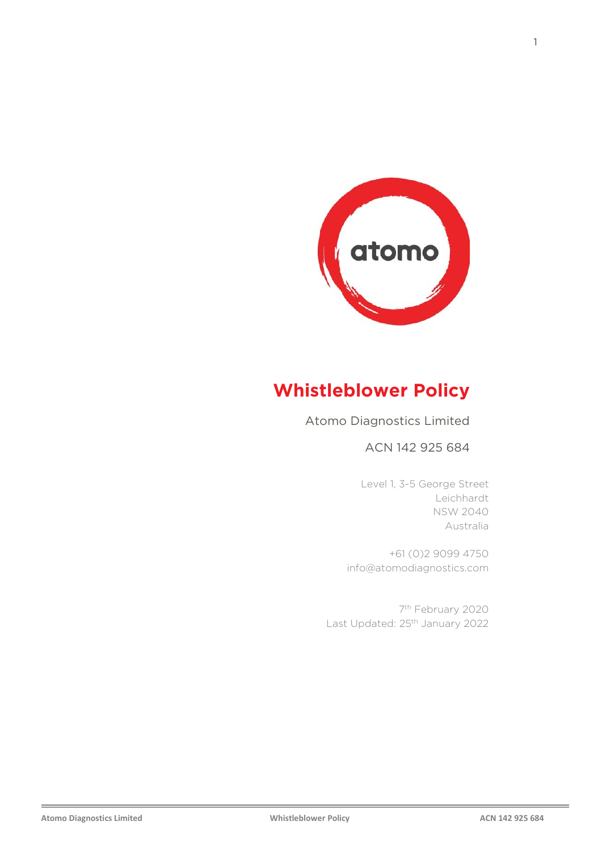

# **Whistleblower Policy**

Atomo Diagnostics Limited

ACN 142 925 684

Level 1, 3-5 George Street Level 1, 3-5 George Street Leichhardt Leichhardt NSW 2040 NSW 2040 Australia Australia

+61 (0)2 9099 4750 +61 (0)2 9099 4750 info@atomodiagnostics.com info@atomodiagnostics.com

7th February 2020 7th February 2020 Last Updated: 25<sup>th</sup> January 2022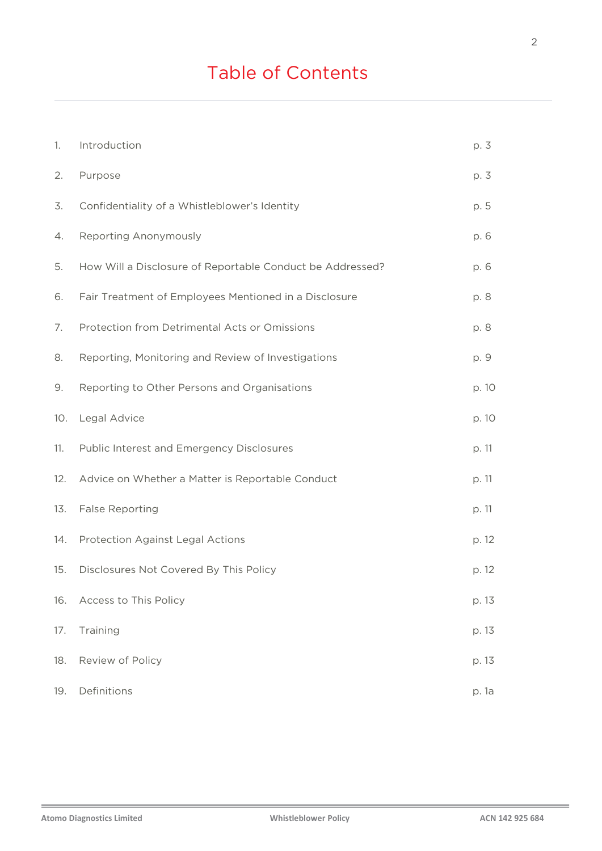| 1.  | Introduction                                              | p. 3  |
|-----|-----------------------------------------------------------|-------|
| 2.  | Purpose                                                   | p. 3  |
| 3.  | Confidentiality of a Whistleblower's Identity             | p. 5  |
| 4.  | Reporting Anonymously                                     | p. 6  |
| 5.  | How Will a Disclosure of Reportable Conduct be Addressed? | p. 6  |
| 6.  | Fair Treatment of Employees Mentioned in a Disclosure     | p. 8  |
| 7.  | Protection from Detrimental Acts or Omissions             | p. 8  |
| 8.  | Reporting, Monitoring and Review of Investigations        | p. 9  |
| 9.  | Reporting to Other Persons and Organisations              | p. 10 |
| 10. | Legal Advice                                              | p. 10 |
| 11. | Public Interest and Emergency Disclosures                 | p. 11 |
| 12. | Advice on Whether a Matter is Reportable Conduct          | p. 11 |
| 13. | <b>False Reporting</b>                                    | p. 11 |
| 14. | Protection Against Legal Actions                          | p. 12 |
| 15. | Disclosures Not Covered By This Policy                    | p. 12 |
| 16. | Access to This Policy                                     | p. 13 |
| 17. | Training                                                  | p. 13 |
| 18. | Review of Policy                                          | p. 13 |
| 19. | Definitions                                               | p. 1a |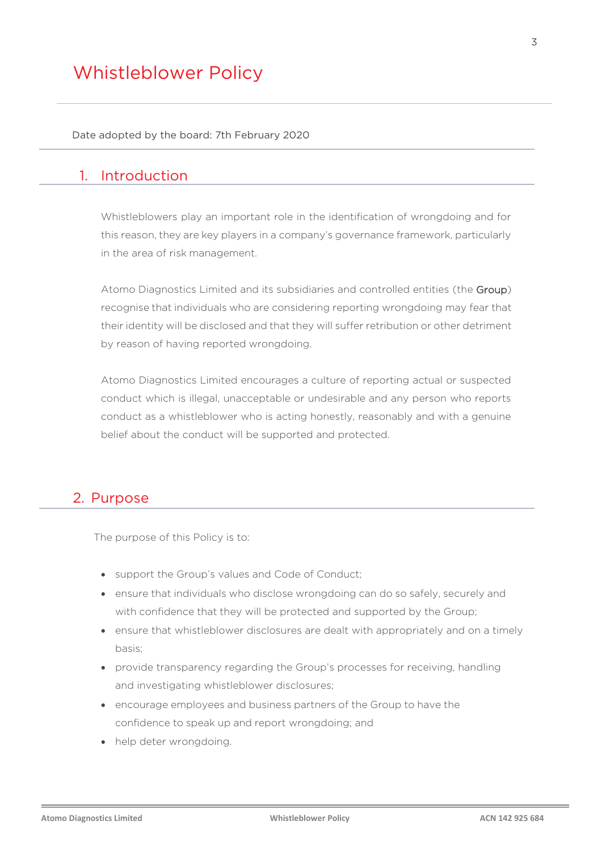Date adopted by the board: 7th February 2020

#### 1. Introduction

Whistleblowers play an important role in the identification of wrongdoing and for this reason, they are key players in a company's governance framework, particularly in the area of risk management.

Atomo Diagnostics Limited and its subsidiaries and controlled entities (the Group) recognise that individuals who are considering reporting wrongdoing may fear that their identity will be disclosed and that they will suffer retribution or other detriment by reason of having reported wrongdoing.

Atomo Diagnostics Limited encourages a culture of reporting actual or suspected conduct which is illegal, unacceptable or undesirable and any person who reports conduct as a whistleblower who is acting honestly, reasonably and with a genuine belief about the conduct will be supported and protected.

#### 2. Purpose

The purpose of this Policy is to:

- support the Group's values and Code of Conduct;
- ensure that individuals who disclose wrongdoing can do so safely, securely and with confidence that they will be protected and supported by the Group;
- ensure that whistleblower disclosures are dealt with appropriately and on a timely basis;
- provide transparency regarding the Group's processes for receiving, handling and investigating whistleblower disclosures;
- encourage employees and business partners of the Group to have the confidence to speak up and report wrongdoing; and
- help deter wrongdoing.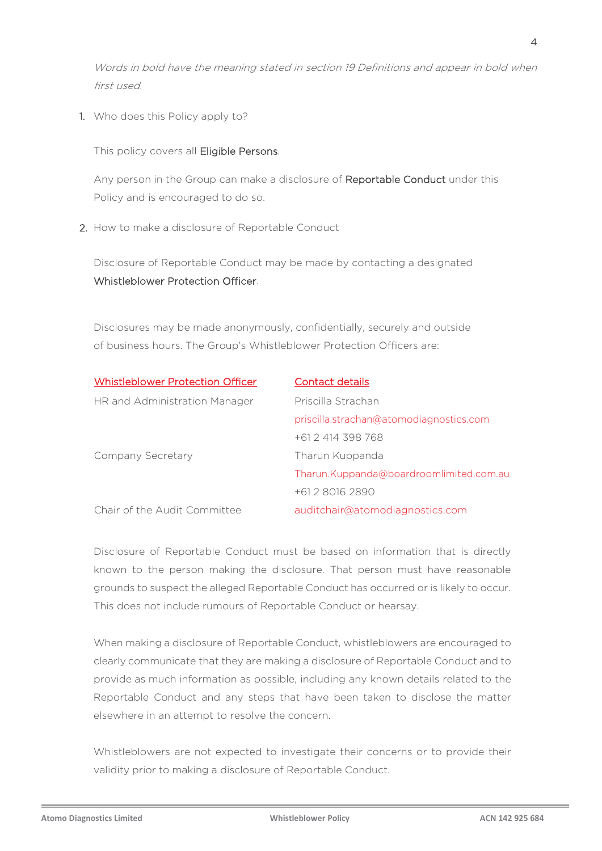Words in bold have the meaning stated in section 19 Definitions and appear in bold when first used.

1. Who does this Policy apply to?

This policy covers all Eligible Persons.

Any person in the Group can make a disclosure of Reportable Conduct under this Policy and is encouraged to do so.

2. How to make a disclosure of Reportable Conduct

Disclosure of Reportable Conduct may be made by contacting a designated Whistleblower Protection Officer.

Disclosures may be made anonymously, confidentially, securely and outside of business hours. The Group's Whistleblower Protection Officers are:

| <b>Whistleblower Protection Officer</b> | <b>Contact details</b>                  |
|-----------------------------------------|-----------------------------------------|
| HR and Administration Manager           | Priscilla Strachan                      |
|                                         | priscilla.strachan@atomodiagnostics.com |
|                                         | +61 2 414 398 768                       |
| Company Secretary                       | Tharun Kuppanda                         |
|                                         | Tharun.Kuppanda@boardroomlimited.com.au |
|                                         | +61 2 8016 2890                         |
| Chair of the Audit Committee            | auditchair@atomodiagnostics.com         |

Disclosure of Reportable Conduct must be based on information that is directly known to the person making the disclosure. That person must have reasonable grounds to suspect the alleged Reportable Conduct has occurred or is likely to occur. This does not include rumours of Reportable Conduct or hearsay.

When making a disclosure of Reportable Conduct, whistleblowers are encouraged to clearly communicate that they are making a disclosure of Reportable Conduct and to provide as much information as possible, including any known details related to the Reportable Conduct and any steps that have been taken to disclose the matter elsewhere in an attempt to resolve the concern.

Whistleblowers are not expected to investigate their concerns or to provide their validity prior to making a disclosure of Reportable Conduct.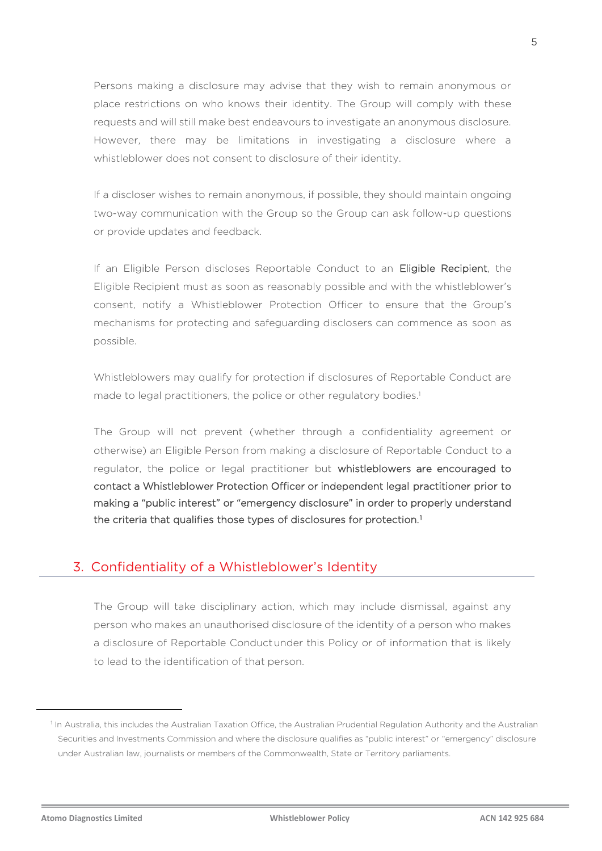Persons making a disclosure may advise that they wish to remain anonymous or place restrictions on who knows their identity. The Group will comply with these requests and will still make best endeavours to investigate an anonymous disclosure. However, there may be limitations in investigating a disclosure where a whistleblower does not consent to disclosure of their identity.

If a discloser wishes to remain anonymous, if possible, they should maintain ongoing two-way communication with the Group so the Group can ask follow-up questions or provide updates and feedback.

If an Eligible Person discloses Reportable Conduct to an Eligible Recipient, the Eligible Recipient must as soon as reasonably possible and with the whistleblower's consent, notify a Whistleblower Protection Officer to ensure that the Group's mechanisms for protecting and safeguarding disclosers can commence as soon as possible.

Whistleblowers may qualify for protection if disclosures of Reportable Conduct are made to legal practitioners, the police or other regulatory bodies.<sup>1</sup>

The Group will not prevent (whether through a confidentiality agreement or otherwise) an Eligible Person from making a disclosure of Reportable Conduct to a regulator, the police or legal practitioner but whistleblowers are encouraged to contact a Whistleblower Protection Officer or independent legal practitioner prior to making a "public interest" or "emergency disclosure" in order to properly understand the criteria that qualifies those types of disclosures for protection.[1](#page-4-0)

#### 3. Confidentiality of a Whistleblower's Identity

The Group will take disciplinary action, which may include dismissal, against any person who makes an unauthorised disclosure of the identity of a person who makes a disclosure of Reportable Conductunder this Policy or of information that is likely to lead to the identification of that person.

<span id="page-4-0"></span><sup>&</sup>lt;sup>1</sup> In Australia, this includes the Australian Taxation Office, the Australian Prudential Regulation Authority and the Australian Securities and Investments Commission and where the disclosure qualifies as "public interest" or "emergency" disclosure under Australian law, journalists or members of the Commonwealth, State or Territory parliaments.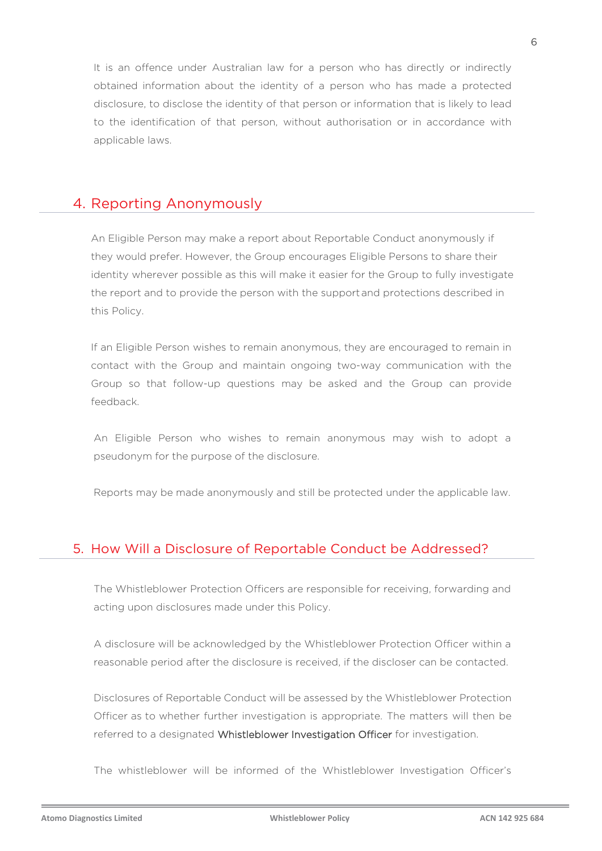It is an offence under Australian law for a person who has directly or indirectly obtained information about the identity of a person who has made a protected disclosure, to disclose the identity of that person or information that is likely to lead to the identification of that person, without authorisation or in accordance with applicable laws.

#### 4. Reporting Anonymously

An Eligible Person may make a report about Reportable Conduct anonymously if they would prefer. However, the Group encourages Eligible Persons to share their identity wherever possible as this will make it easier for the Group to fully investigate the report and to provide the person with the supportand protections described in this Policy.

If an Eligible Person wishes to remain anonymous, they are encouraged to remain in contact with the Group and maintain ongoing two-way communication with the Group so that follow-up questions may be asked and the Group can provide feedback.

An Eligible Person who wishes to remain anonymous may wish to adopt a pseudonym for the purpose of the disclosure.

Reports may be made anonymously and still be protected under the applicable law.

#### 5. How Will a Disclosure of Reportable Conduct be Addressed?

The Whistleblower Protection Officers are responsible for receiving, forwarding and acting upon disclosures made under this Policy.

A disclosure will be acknowledged by the Whistleblower Protection Officer within a reasonable period after the disclosure is received, if the discloser can be contacted.

Disclosures of Reportable Conduct will be assessed by the Whistleblower Protection Officer as to whether further investigation is appropriate. The matters will then be referred to a designated Whistleblower Investigation Officer for investigation.

The whistleblower will be informed of the Whistleblower Investigation Officer's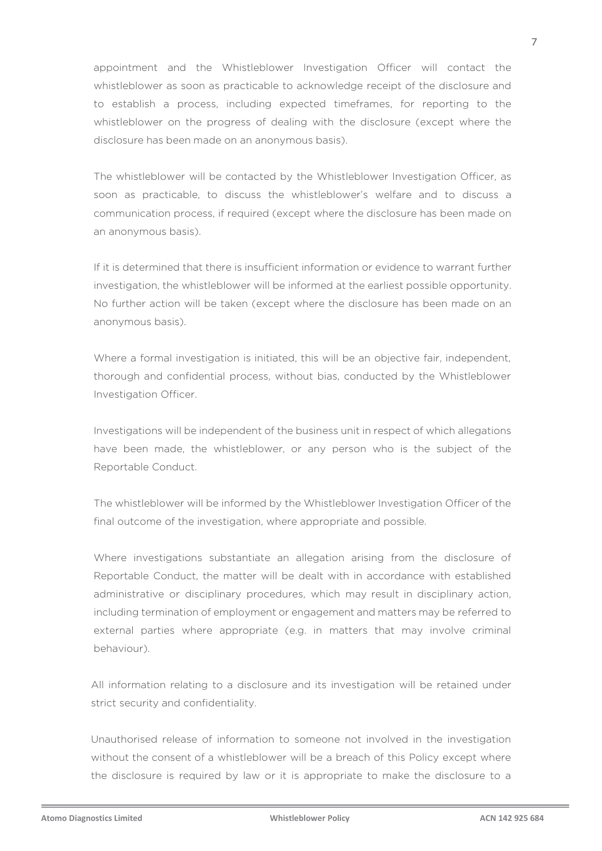appointment and the Whistleblower Investigation Officer will contact the whistleblower as soon as practicable to acknowledge receipt of the disclosure and to establish a process, including expected timeframes, for reporting to the whistleblower on the progress of dealing with the disclosure (except where the disclosure has been made on an anonymous basis).

The whistleblower will be contacted by the Whistleblower Investigation Officer, as soon as practicable, to discuss the whistleblower's welfare and to discuss a communication process, if required (except where the disclosure has been made on an anonymous basis).

If it is determined that there is insufficient information or evidence to warrant further investigation, the whistleblower will be informed at the earliest possible opportunity. No further action will be taken (except where the disclosure has been made on an anonymous basis).

Where a formal investigation is initiated, this will be an objective fair, independent, thorough and confidential process, without bias, conducted by the Whistleblower Investigation Officer.

Investigations will be independent of the business unit in respect of which allegations have been made, the whistleblower, or any person who is the subject of the Reportable Conduct.

The whistleblower will be informed by the Whistleblower Investigation Officer of the final outcome of the investigation, where appropriate and possible.

Where investigations substantiate an allegation arising from the disclosure of Reportable Conduct, the matter will be dealt with in accordance with established administrative or disciplinary procedures, which may result in disciplinary action, including termination of employment or engagement and matters may be referred to external parties where appropriate (e.g. in matters that may involve criminal behaviour).

All information relating to a disclosure and its investigation will be retained under strict security and confidentiality.

Unauthorised release of information to someone not involved in the investigation without the consent of a whistleblower will be a breach of this Policy except where the disclosure is required by law or it is appropriate to make the disclosure to a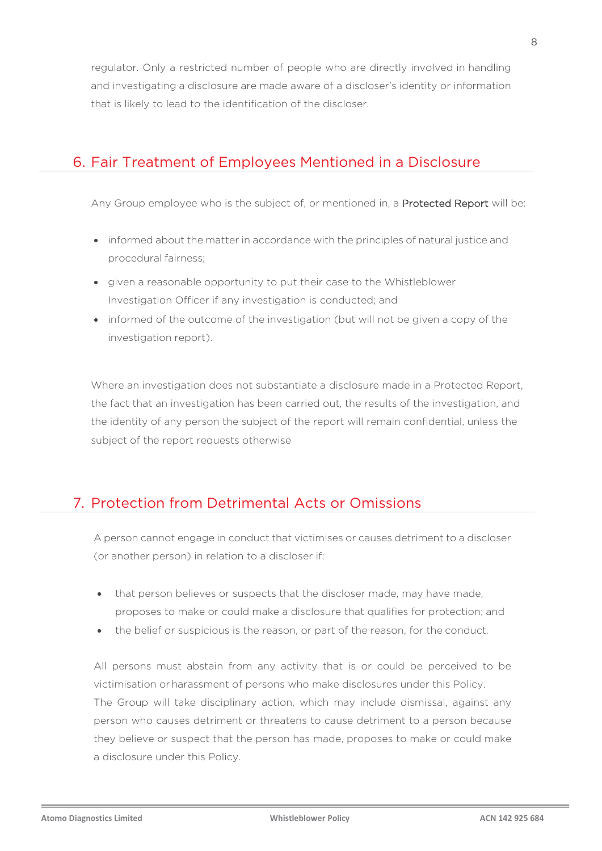regulator. Only a restricted number of people who are directly involved in handling and investigating a disclosure are made aware of a discloser's identity or information that is likely to lead to the identification of the discloser.

## 6. Fair Treatment of Employees Mentioned in a Disclosure

Any Group employee who is the subject of, or mentioned in, a **Protected Report** will be:

- informed about the matter in accordance with the principles of natural justice and procedural fairness;
- given a reasonable opportunity to put their case to the Whistleblower Investigation Officer if any investigation is conducted; and
- informed of the outcome of the investigation (but will not be given a copy of the investigation report).

Where an investigation does not substantiate a disclosure made in a Protected Report, the fact that an investigation has been carried out, the results of the investigation, and the identity of any person the subject of the report will remain confidential, unless the subject of the report requests otherwise

## 7. Protection from Detrimental Acts or Omissions

A person cannot engage in conduct that victimises or causes detriment to a discloser (or another person) in relation to a discloser if:

- that person believes or suspects that the discloser made, may have made, proposes to make or could make a disclosure that qualifies for protection; and
- the belief or suspicious is the reason, or part of the reason, for the conduct.

All persons must abstain from any activity that is or could be perceived to be victimisation or harassment of persons who make disclosures under this Policy. The Group will take disciplinary action, which may include dismissal, against any person who causes detriment or threatens to cause detriment to a person because they believe or suspect that the person has made, proposes to make or could make a disclosure under this Policy.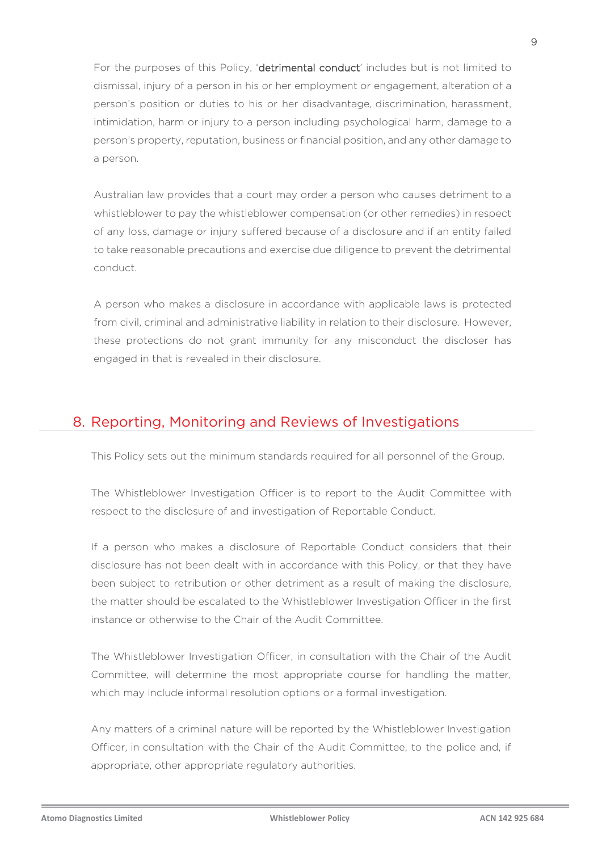For the purposes of this Policy, 'detrimental conduct' includes but is not limited to dismissal, injury of a person in his or her employment or engagement, alteration of a person's position or duties to his or her disadvantage, discrimination, harassment, intimidation, harm or injury to a person including psychological harm, damage to a person's property, reputation, business or financial position, and any other damage to a person.

Australian law provides that a court may order a person who causes detriment to a whistleblower to pay the whistleblower compensation (or other remedies) in respect of any loss, damage or injury suffered because of a disclosure and if an entity failed to take reasonable precautions and exercise due diligence to prevent the detrimental conduct.

A person who makes a disclosure in accordance with applicable laws is protected from civil, criminal and administrative liability in relation to their disclosure. However, these protections do not grant immunity for any misconduct the discloser has engaged in that is revealed in their disclosure.

## 8. Reporting, Monitoring and Reviews of Investigations

This Policy sets out the minimum standards required for all personnel of the Group.

The Whistleblower Investigation Officer is to report to the Audit Committee with respect to the disclosure of and investigation of Reportable Conduct.

If a person who makes a disclosure of Reportable Conduct considers that their disclosure has not been dealt with in accordance with this Policy, or that they have been subject to retribution or other detriment as a result of making the disclosure, the matter should be escalated to the Whistleblower Investigation Officer in the first instance or otherwise to the Chair of the Audit Committee.

The Whistleblower Investigation Officer, in consultation with the Chair of the Audit Committee, will determine the most appropriate course for handling the matter, which may include informal resolution options or a formal investigation.

Any matters of a criminal nature will be reported by the Whistleblower Investigation Officer, in consultation with the Chair of the Audit Committee, to the police and, if appropriate, other appropriate regulatory authorities.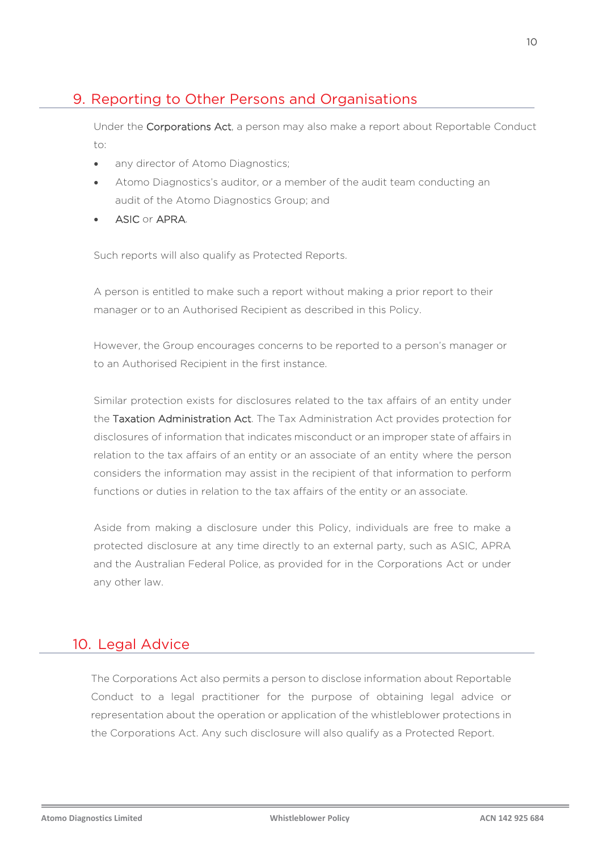# 9. Reporting to Other Persons and Organisations

Under the Corporations Act, a person may also make a report about Reportable Conduct to:

- any director of Atomo Diagnostics;
- Atomo Diagnostics's auditor, or a member of the audit team conducting an audit of the Atomo Diagnostics Group; and
- ASIC or APRA.

Such reports will also qualify as Protected Reports.

A person is entitled to make such a report without making a prior report to their manager or to an Authorised Recipient as described in this Policy.

However, the Group encourages concerns to be reported to a person's manager or to an Authorised Recipient in the first instance.

Similar protection exists for disclosures related to the tax affairs of an entity under the Taxation Administration Act. The Tax Administration Act provides protection for disclosures of information that indicates misconduct or an improper state of affairs in relation to the tax affairs of an entity or an associate of an entity where the person considers the information may assist in the recipient of that information to perform functions or duties in relation to the tax affairs of the entity or an associate.

Aside from making a disclosure under this Policy, individuals are free to make a protected disclosure at any time directly to an external party, such as ASIC, APRA and the Australian Federal Police, as provided for in the Corporations Act or under any other law.

#### 10. Legal Advice

The Corporations Act also permits a person to disclose information about Reportable Conduct to a legal practitioner for the purpose of obtaining legal advice or representation about the operation or application of the whistleblower protections in the Corporations Act. Any such disclosure will also qualify as a Protected Report.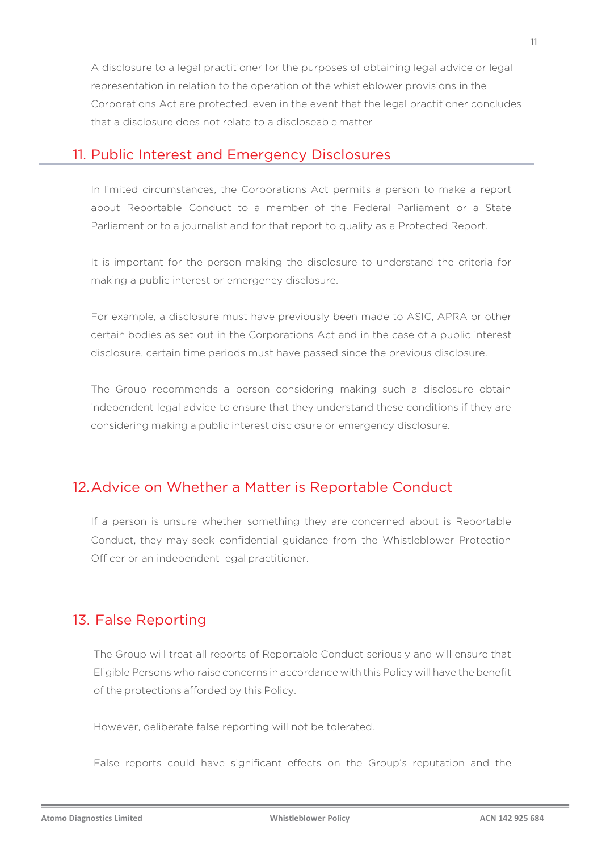A disclosure to a legal practitioner for the purposes of obtaining legal advice or legal representation in relation to the operation of the whistleblower provisions in the Corporations Act are protected, even in the event that the legal practitioner concludes that a disclosure does not relate to a discloseable matter

#### 11. Public Interest and Emergency Disclosures

In limited circumstances, the Corporations Act permits a person to make a report about Reportable Conduct to a member of the Federal Parliament or a State Parliament or to a journalist and for that report to qualify as a Protected Report.

It is important for the person making the disclosure to understand the criteria for making a public interest or emergency disclosure.

For example, a disclosure must have previously been made to ASIC, APRA or other certain bodies as set out in the Corporations Act and in the case of a public interest disclosure, certain time periods must have passed since the previous disclosure.

The Group recommends a person considering making such a disclosure obtain independent legal advice to ensure that they understand these conditions if they are considering making a public interest disclosure or emergency disclosure.

## 12.Advice on Whether a Matter is Reportable Conduct

If a person is unsure whether something they are concerned about is Reportable Conduct, they may seek confidential guidance from the Whistleblower Protection Officer or an independent legal practitioner.

## 13. False Reporting

The Group will treat all reports of Reportable Conduct seriously and will ensure that Eligible Persons who raise concerns in accordance with this Policy will have the benefit of the protections afforded by this Policy.

However, deliberate false reporting will not be tolerated.

False reports could have significant effects on the Group's reputation and the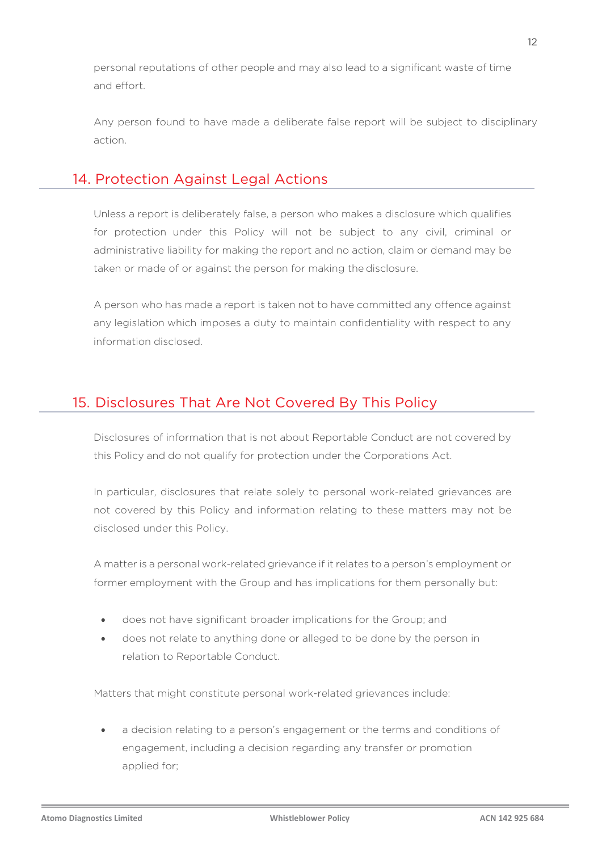personal reputations of other people and may also lead to a significant waste of time and effort.

Any person found to have made a deliberate false report will be subject to disciplinary action.

## 14. Protection Against Legal Actions

Unless a report is deliberately false, a person who makes a disclosure which qualifies for protection under this Policy will not be subject to any civil, criminal or administrative liability for making the report and no action, claim or demand may be taken or made of or against the person for making the disclosure.

A person who has made a report is taken not to have committed any offence against any legislation which imposes a duty to maintain confidentiality with respect to any information disclosed.

## 15. Disclosures That Are Not Covered By This Policy

Disclosures of information that is not about Reportable Conduct are not covered by this Policy and do not qualify for protection under the Corporations Act.

In particular, disclosures that relate solely to personal work-related grievances are not covered by this Policy and information relating to these matters may not be disclosed under this Policy.

A matter is a personal work-related grievance if it relates to a person's employment or former employment with the Group and has implications for them personally but:

- does not have significant broader implications for the Group; and
- does not relate to anything done or alleged to be done by the person in relation to Reportable Conduct.

Matters that might constitute personal work-related grievances include:

a decision relating to a person's engagement or the terms and conditions of engagement, including a decision regarding any transfer or promotion applied for;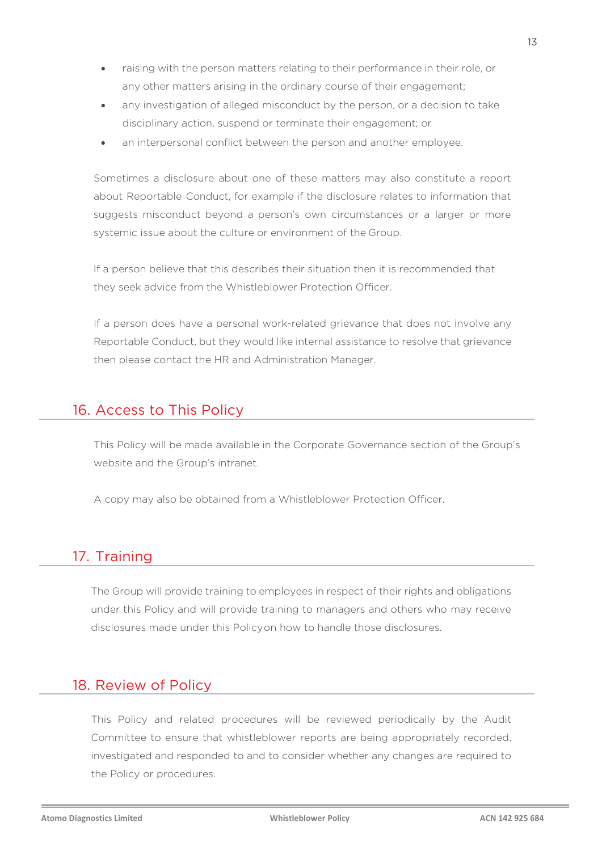- raising with the person matters relating to their performance in their role, or any other matters arising in the ordinary course of their engagement;
- any investigation of alleged misconduct by the person, or a decision to take disciplinary action, suspend or terminate their engagement; or
- an interpersonal conflict between the person and another employee.

Sometimes a disclosure about one of these matters may also constitute a report about Reportable Conduct, for example if the disclosure relates to information that suggests misconduct beyond a person's own circumstances or a larger or more systemic issue about the culture or environment of the Group.

If a person believe that this describes their situation then it is recommended that they seek advice from the Whistleblower Protection Officer.

If a person does have a personal work-related grievance that does not involve any Reportable Conduct, but they would like internal assistance to resolve that grievance then please contact the HR and Administration Manager.

### 16. Access to This Policy

This Policy will be made available in the Corporate Governance section of the Group's website and the Group's intranet.

A copy may also be obtained from a Whistleblower Protection Officer.

## 17. Training

The Group will provide training to employees in respect of their rights and obligations under this Policy and will provide training to managers and others who may receive disclosures made under this Policyon how to handle those disclosures.

#### 18. Review of Policy

This Policy and related procedures will be reviewed periodically by the Audit Committee to ensure that whistleblower reports are being appropriately recorded, investigated and responded to and to consider whether any changes are required to the Policy or procedures.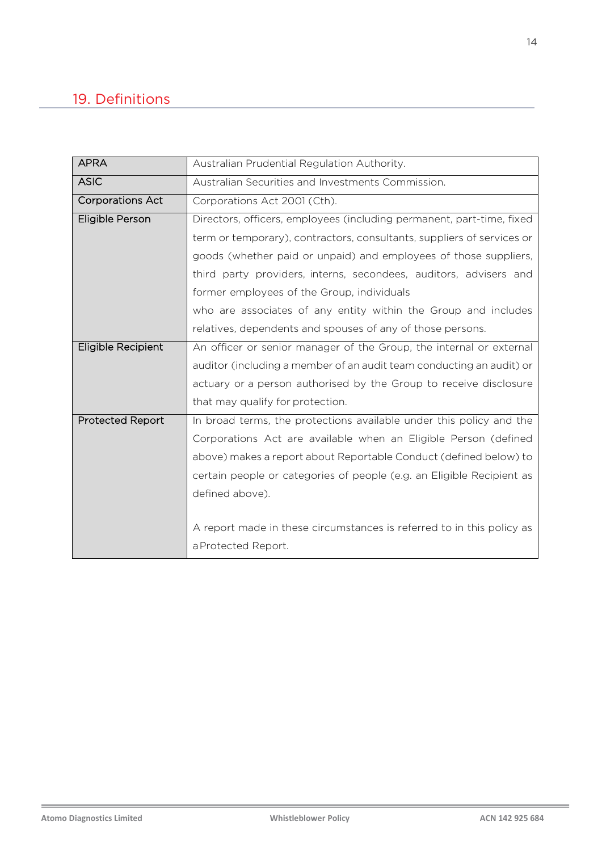# 19. Definitions

| <b>APRA</b>             | Australian Prudential Regulation Authority.                            |
|-------------------------|------------------------------------------------------------------------|
| <b>ASIC</b>             | Australian Securities and Investments Commission.                      |
| <b>Corporations Act</b> | Corporations Act 2001 (Cth).                                           |
| Eligible Person         | Directors, officers, employees (including permanent, part-time, fixed  |
|                         | term or temporary), contractors, consultants, suppliers of services or |
|                         | goods (whether paid or unpaid) and employees of those suppliers,       |
|                         | third party providers, interns, secondees, auditors, advisers and      |
|                         | former employees of the Group, individuals                             |
|                         | who are associates of any entity within the Group and includes         |
|                         | relatives, dependents and spouses of any of those persons.             |
| Eligible Recipient      | An officer or senior manager of the Group, the internal or external    |
|                         | auditor (including a member of an audit team conducting an audit) or   |
|                         | actuary or a person authorised by the Group to receive disclosure      |
|                         | that may qualify for protection.                                       |
| <b>Protected Report</b> | In broad terms, the protections available under this policy and the    |
|                         | Corporations Act are available when an Eligible Person (defined        |
|                         | above) makes a report about Reportable Conduct (defined below) to      |
|                         | certain people or categories of people (e.g. an Eligible Recipient as  |
|                         | defined above).                                                        |
|                         |                                                                        |
|                         | A report made in these circumstances is referred to in this policy as  |
|                         | a Protected Report.                                                    |

L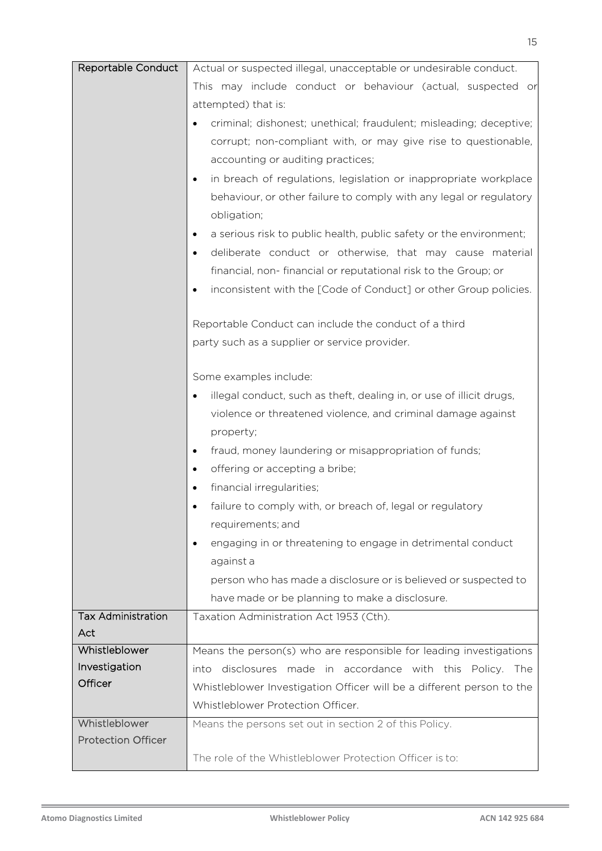| Reportable Conduct        | Actual or suspected illegal, unacceptable or undesirable conduct.             |
|---------------------------|-------------------------------------------------------------------------------|
|                           | This may include conduct or behaviour (actual, suspected or                   |
|                           | attempted) that is:                                                           |
|                           | criminal; dishonest; unethical; fraudulent; misleading; deceptive;            |
|                           | corrupt; non-compliant with, or may give rise to questionable,                |
|                           | accounting or auditing practices;                                             |
|                           | in breach of regulations, legislation or inappropriate workplace<br>$\bullet$ |
|                           | behaviour, or other failure to comply with any legal or regulatory            |
|                           | obligation;                                                                   |
|                           | a serious risk to public health, public safety or the environment;<br>٠       |
|                           | deliberate conduct or otherwise, that may cause material                      |
|                           | financial, non-financial or reputational risk to the Group; or                |
|                           | inconsistent with the [Code of Conduct] or other Group policies.              |
|                           |                                                                               |
|                           | Reportable Conduct can include the conduct of a third                         |
|                           | party such as a supplier or service provider.                                 |
|                           |                                                                               |
|                           | Some examples include:                                                        |
|                           | illegal conduct, such as theft, dealing in, or use of illicit drugs,          |
|                           | violence or threatened violence, and criminal damage against                  |
|                           | property;                                                                     |
|                           | fraud, money laundering or misappropriation of funds;                         |
|                           | offering or accepting a bribe;                                                |
|                           | financial irregularities;                                                     |
|                           | failure to comply with, or breach of, legal or regulatory                     |
|                           | requirements; and                                                             |
|                           | engaging in or threatening to engage in detrimental conduct                   |
|                           | against a                                                                     |
|                           | person who has made a disclosure or is believed or suspected to               |
|                           | have made or be planning to make a disclosure.                                |
| <b>Tax Administration</b> | Taxation Administration Act 1953 (Cth).                                       |
| Act                       |                                                                               |
| Whistleblower             | Means the person(s) who are responsible for leading investigations            |
| Investigation             | into disclosures made in accordance with this Policy. The                     |
| Officer                   | Whistleblower Investigation Officer will be a different person to the         |
|                           | Whistleblower Protection Officer.                                             |
| Whistleblower             | Means the persons set out in section 2 of this Policy.                        |
| <b>Protection Officer</b> |                                                                               |
|                           | The role of the Whistleblower Protection Officer is to:                       |

L